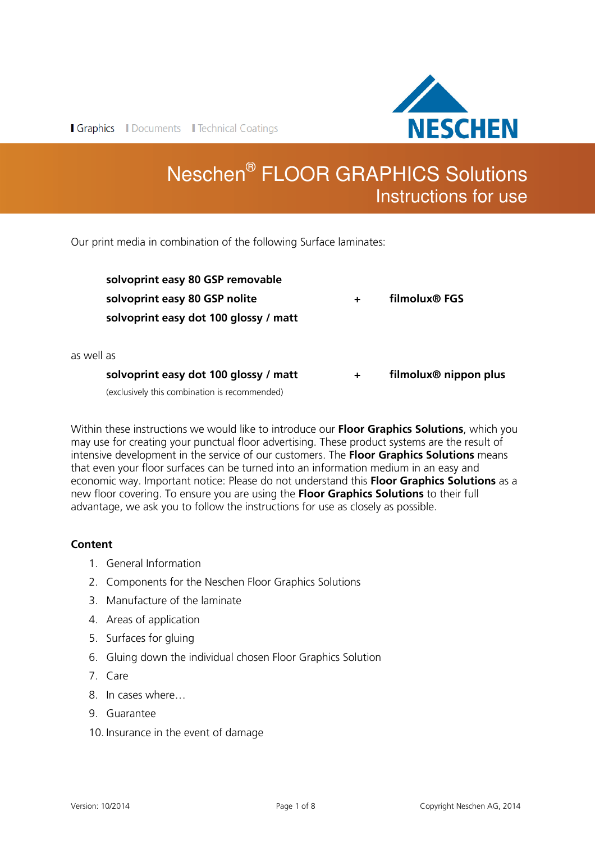

**I Graphics I** Documents **I** Technical Coatings

# Neschen® FLOOR GRAPHICS Solutions Instructions for use

Our print media in combination of the following Surface laminates:

|            | solvoprint easy dot 100 glossy / matt                                  | $\pm$ | filmolux <sup>®</sup> nippon plus |
|------------|------------------------------------------------------------------------|-------|-----------------------------------|
| as well as |                                                                        |       |                                   |
|            | solvoprint easy 80 GSP nolite<br>solvoprint easy dot 100 glossy / matt |       | filmolux <sup>®</sup> FGS         |
|            | solvoprint easy 80 GSP removable                                       |       |                                   |

(exclusively this combination is recommended)

Within these instructions we would like to introduce our **Floor Graphics Solutions**, which you may use for creating your punctual floor advertising. These product systems are the result of intensive development in the service of our customers. The **Floor Graphics Solutions** means that even your floor surfaces can be turned into an information medium in an easy and economic way. Important notice: Please do not understand this **Floor Graphics Solutions** as a new floor covering. To ensure you are using the **Floor Graphics Solutions** to their full advantage, we ask you to follow the instructions for use as closely as possible.

# **Content**

- 1. General Information
- 2. Components for the Neschen Floor Graphics Solutions
- 3. Manufacture of the laminate
- 4. Areas of application
- 5. Surfaces for gluing
- 6. Gluing down the individual chosen Floor Graphics Solution
- 7. Care
- 8. In cases where…
- 9. Guarantee
- 10. Insurance in the event of damage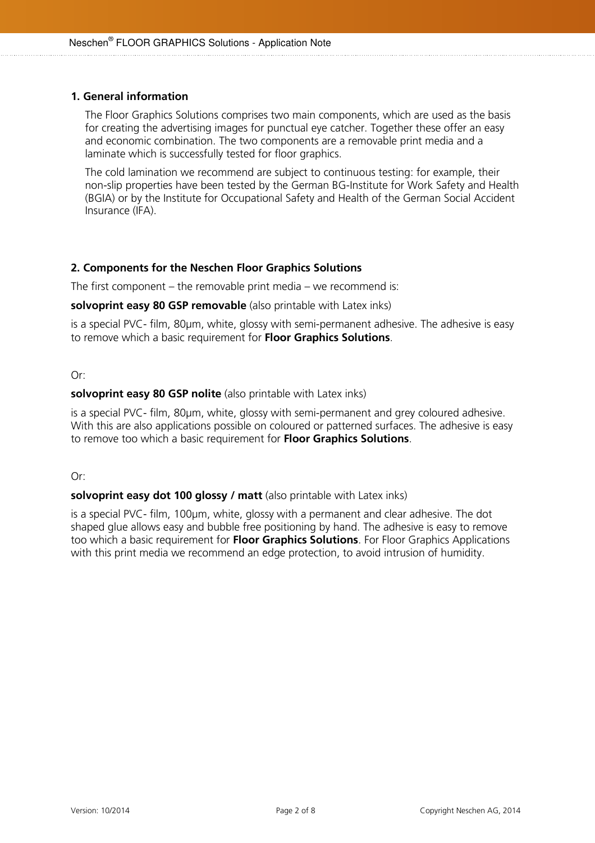# **1. General information**

The Floor Graphics Solutions comprises two main components, which are used as the basis for creating the advertising images for punctual eye catcher. Together these offer an easy and economic combination. The two components are a removable print media and a laminate which is successfully tested for floor graphics.

The cold lamination we recommend are subject to continuous testing: for example, their non-slip properties have been tested by the German BG-Institute for Work Safety and Health (BGIA) or by the Institute for Occupational Safety and Health of the German Social Accident Insurance (IFA).

# **2. Components for the Neschen Floor Graphics Solutions**

The first component – the removable print media – we recommend is:

## **solvoprint easy 80 GSP removable** (also printable with Latex inks)

is a special PVC- film, 80µm, white, glossy with semi-permanent adhesive. The adhesive is easy to remove which a basic requirement for **Floor Graphics Solutions**.

## Or:

## **solvoprint easy 80 GSP nolite** (also printable with Latex inks)

is a special PVC- film, 80µm, white, glossy with semi-permanent and grey coloured adhesive. With this are also applications possible on coloured or patterned surfaces. The adhesive is easy to remove too which a basic requirement for **Floor Graphics Solutions**.

Or:

# **solvoprint easy dot 100 glossy / matt** (also printable with Latex inks)

is a special PVC- film, 100um, white, glossy with a permanent and clear adhesive. The dot shaped glue allows easy and bubble free positioning by hand. The adhesive is easy to remove too which a basic requirement for **Floor Graphics Solutions**. For Floor Graphics Applications with this print media we recommend an edge protection, to avoid intrusion of humidity.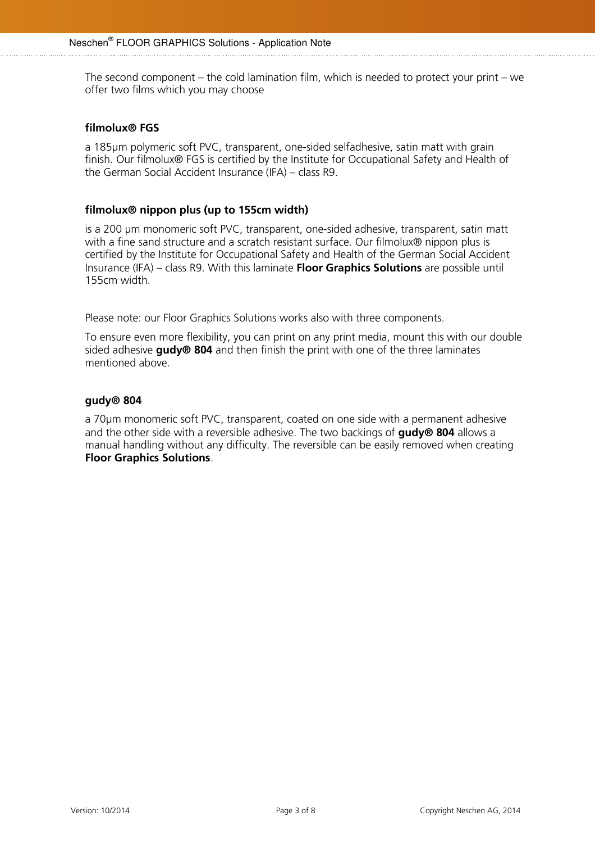The second component – the cold lamination film, which is needed to protect your print – we offer two films which you may choose

## **filmolux® FGS**

a 185µm polymeric soft PVC, transparent, one-sided selfadhesive, satin matt with grain finish. Our filmolux® FGS is certified by the Institute for Occupational Safety and Health of the German Social Accident Insurance (IFA) – class R9.

## **filmolux® nippon plus (up to 155cm width)**

is a 200 µm monomeric soft PVC, transparent, one-sided adhesive, transparent, satin matt with a fine sand structure and a scratch resistant surface. Our filmolux® nippon plus is certified by the Institute for Occupational Safety and Health of the German Social Accident Insurance (IFA) – class R9. With this laminate **Floor Graphics Solutions** are possible until 155cm width.

Please note: our Floor Graphics Solutions works also with three components.

To ensure even more flexibility, you can print on any print media, mount this with our double sided adhesive **gudy® 804** and then finish the print with one of the three laminates mentioned above.

## **gudy® 804**

a 70µm monomeric soft PVC, transparent, coated on one side with a permanent adhesive and the other side with a reversible adhesive. The two backings of **gudy® 804** allows a manual handling without any difficulty. The reversible can be easily removed when creating **Floor Graphics Solutions**.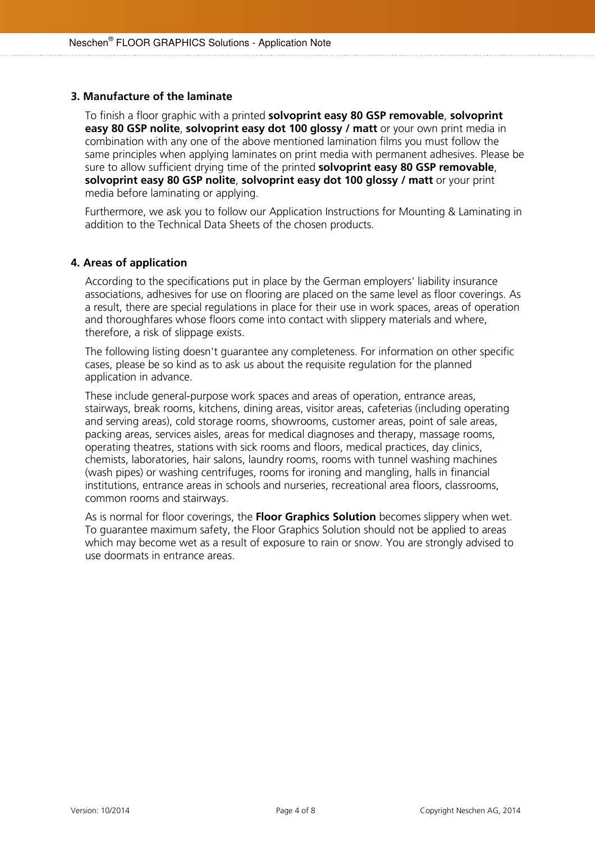## **3. Manufacture of the laminate**

To finish a floor graphic with a printed **solvoprint easy 80 GSP removable**, **solvoprint easy 80 GSP nolite, solvoprint easy dot 100 glossy / matt** or your own print media in combination with any one of the above mentioned lamination films you must follow the same principles when applying laminates on print media with permanent adhesives. Please be sure to allow sufficient drying time of the printed **solvoprint easy 80 GSP removable**, **solvoprint easy 80 GSP nolite**, **solvoprint easy dot 100 glossy / matt** or your print media before laminating or applying.

Furthermore, we ask you to follow our Application Instructions for Mounting & Laminating in addition to the Technical Data Sheets of the chosen products.

# **4. Areas of application**

According to the specifications put in place by the German employers' liability insurance associations, adhesives for use on flooring are placed on the same level as floor coverings. As a result, there are special regulations in place for their use in work spaces, areas of operation and thoroughfares whose floors come into contact with slippery materials and where, therefore, a risk of slippage exists.

The following listing doesn't guarantee any completeness. For information on other specific cases, please be so kind as to ask us about the requisite regulation for the planned application in advance.

These include general-purpose work spaces and areas of operation, entrance areas, stairways, break rooms, kitchens, dining areas, visitor areas, cafeterias (including operating and serving areas), cold storage rooms, showrooms, customer areas, point of sale areas, packing areas, services aisles, areas for medical diagnoses and therapy, massage rooms, operating theatres, stations with sick rooms and floors, medical practices, day clinics, chemists, laboratories, hair salons, laundry rooms, rooms with tunnel washing machines (wash pipes) or washing centrifuges, rooms for ironing and mangling, halls in financial institutions, entrance areas in schools and nurseries, recreational area floors, classrooms, common rooms and stairways.

As is normal for floor coverings, the **Floor Graphics Solution** becomes slippery when wet. To guarantee maximum safety, the Floor Graphics Solution should not be applied to areas which may become wet as a result of exposure to rain or snow. You are strongly advised to use doormats in entrance areas.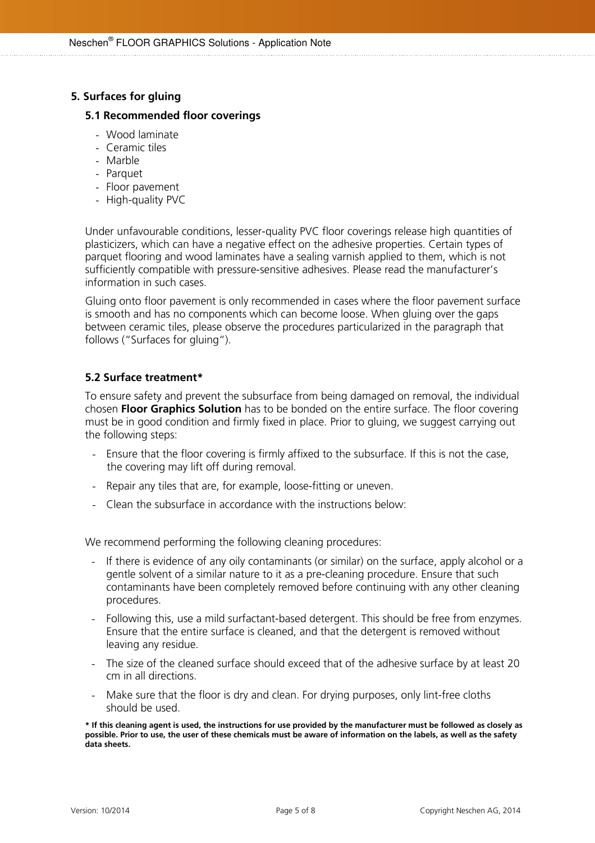# **5. Surfaces for gluing**

#### **5.1 Recommended floor coverings**

- Wood laminate
- Ceramic tiles
- Marble
- Parquet
- Floor pavement
- High-quality PVC

Under unfavourable conditions, lesser-quality PVC floor coverings release high quantities of plasticizers, which can have a negative effect on the adhesive properties. Certain types of parquet flooring and wood laminates have a sealing varnish applied to them, which is not sufficiently compatible with pressure-sensitive adhesives. Please read the manufacturer's information in such cases.

Gluing onto floor pavement is only recommended in cases where the floor pavement surface is smooth and has no components which can become loose. When gluing over the gaps between ceramic tiles, please observe the procedures particularized in the paragraph that follows ("Surfaces for gluing").

# **5.2 Surface treatment\***

To ensure safety and prevent the subsurface from being damaged on removal, the individual chosen **Floor Graphics Solution** has to be bonded on the entire surface. The floor covering must be in good condition and firmly fixed in place. Prior to gluing, we suggest carrying out the following steps:

- Ensure that the floor covering is firmly affixed to the subsurface. If this is not the case, the covering may lift off during removal.
- Repair any tiles that are, for example, loose-fitting or uneven.
- Clean the subsurface in accordance with the instructions below:

We recommend performing the following cleaning procedures:

- If there is evidence of any oily contaminants (or similar) on the surface, apply alcohol or a gentle solvent of a similar nature to it as a pre-cleaning procedure. Ensure that such contaminants have been completely removed before continuing with any other cleaning procedures.
- Following this, use a mild surfactant-based detergent. This should be free from enzymes. Ensure that the entire surface is cleaned, and that the detergent is removed without leaving any residue.
- The size of the cleaned surface should exceed that of the adhesive surface by at least 20 cm in all directions.
- Make sure that the floor is dry and clean. For drying purposes, only lint-free cloths should be used.

**\* If this cleaning agent is used, the instructions for use provided by the manufacturer must be followed as closely as possible. Prior to use, the user of these chemicals must be aware of information on the labels, as well as the safety data sheets.**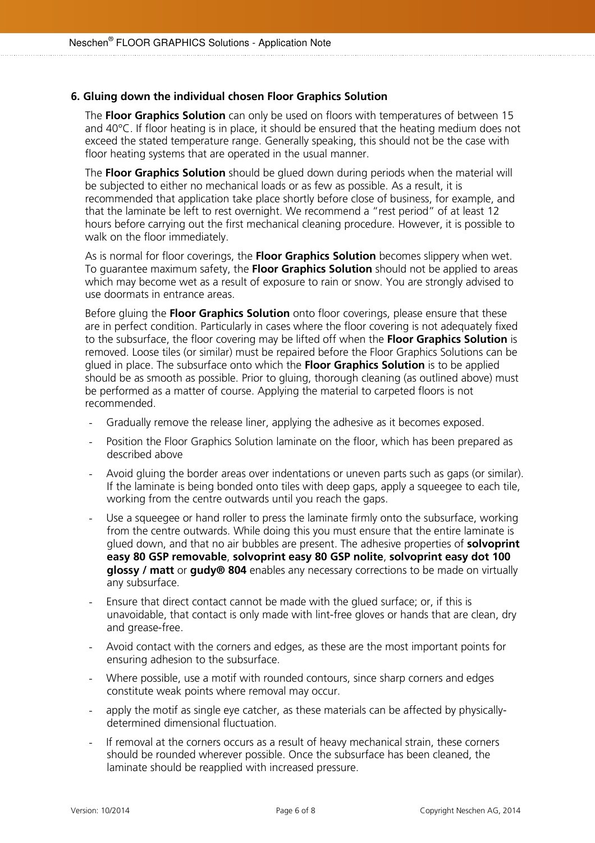## **6. Gluing down the individual chosen Floor Graphics Solution**

The **Floor Graphics Solution** can only be used on floors with temperatures of between 15 and 40°C. If floor heating is in place, it should be ensured that the heating medium does not exceed the stated temperature range. Generally speaking, this should not be the case with floor heating systems that are operated in the usual manner.

The **Floor Graphics Solution** should be glued down during periods when the material will be subjected to either no mechanical loads or as few as possible. As a result, it is recommended that application take place shortly before close of business, for example, and that the laminate be left to rest overnight. We recommend a "rest period" of at least 12 hours before carrying out the first mechanical cleaning procedure. However, it is possible to walk on the floor immediately.

As is normal for floor coverings, the **Floor Graphics Solution** becomes slippery when wet. To guarantee maximum safety, the **Floor Graphics Solution** should not be applied to areas which may become wet as a result of exposure to rain or snow. You are strongly advised to use doormats in entrance areas.

Before gluing the **Floor Graphics Solution** onto floor coverings, please ensure that these are in perfect condition. Particularly in cases where the floor covering is not adequately fixed to the subsurface, the floor covering may be lifted off when the **Floor Graphics Solution** is removed. Loose tiles (or similar) must be repaired before the Floor Graphics Solutions can be glued in place. The subsurface onto which the **Floor Graphics Solution** is to be applied should be as smooth as possible. Prior to gluing, thorough cleaning (as outlined above) must be performed as a matter of course. Applying the material to carpeted floors is not recommended.

- Gradually remove the release liner, applying the adhesive as it becomes exposed.
- Position the Floor Graphics Solution laminate on the floor, which has been prepared as described above
- Avoid gluing the border areas over indentations or uneven parts such as gaps (or similar). If the laminate is being bonded onto tiles with deep gaps, apply a squeegee to each tile, working from the centre outwards until you reach the gaps.
- Use a squeegee or hand roller to press the laminate firmly onto the subsurface, working from the centre outwards. While doing this you must ensure that the entire laminate is glued down, and that no air bubbles are present. The adhesive properties of **solvoprint easy 80 GSP removable**, **solvoprint easy 80 GSP nolite**, **solvoprint easy dot 100 glossy / matt** or **gudy® 804** enables any necessary corrections to be made on virtually any subsurface.
- Ensure that direct contact cannot be made with the glued surface; or, if this is unavoidable, that contact is only made with lint-free gloves or hands that are clean, dry and grease-free.
- Avoid contact with the corners and edges, as these are the most important points for ensuring adhesion to the subsurface.
- Where possible, use a motif with rounded contours, since sharp corners and edges constitute weak points where removal may occur.
- apply the motif as single eye catcher, as these materials can be affected by physicallydetermined dimensional fluctuation.
- If removal at the corners occurs as a result of heavy mechanical strain, these corners should be rounded wherever possible. Once the subsurface has been cleaned, the laminate should be reapplied with increased pressure.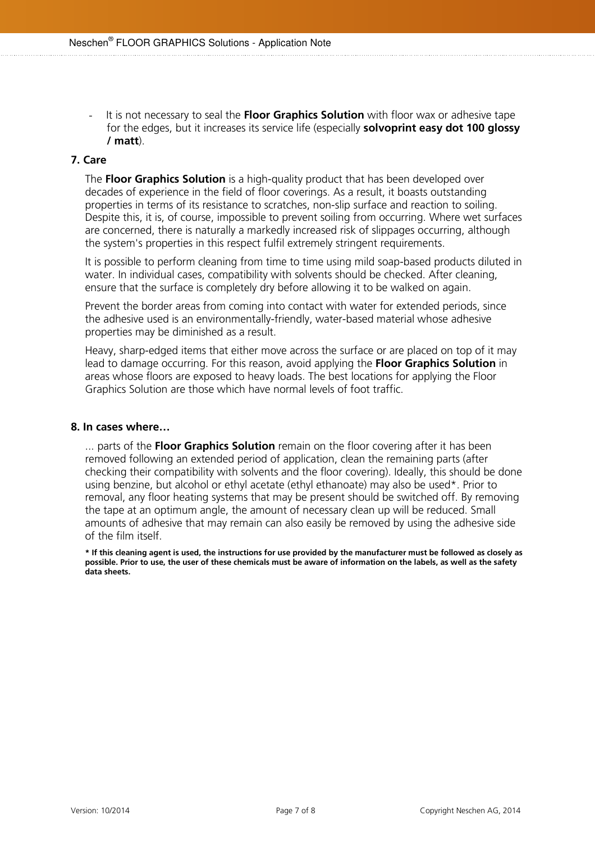- It is not necessary to seal the **Floor Graphics Solution** with floor wax or adhesive tape for the edges, but it increases its service life (especially **solvoprint easy dot 100 glossy / matt**).

# **7. Care**

The **Floor Graphics Solution** is a high-quality product that has been developed over decades of experience in the field of floor coverings. As a result, it boasts outstanding properties in terms of its resistance to scratches, non-slip surface and reaction to soiling. Despite this, it is, of course, impossible to prevent soiling from occurring. Where wet surfaces are concerned, there is naturally a markedly increased risk of slippages occurring, although the system's properties in this respect fulfil extremely stringent requirements.

It is possible to perform cleaning from time to time using mild soap-based products diluted in water. In individual cases, compatibility with solvents should be checked. After cleaning, ensure that the surface is completely dry before allowing it to be walked on again.

Prevent the border areas from coming into contact with water for extended periods, since the adhesive used is an environmentally-friendly, water-based material whose adhesive properties may be diminished as a result.

Heavy, sharp-edged items that either move across the surface or are placed on top of it may lead to damage occurring. For this reason, avoid applying the **Floor Graphics Solution** in areas whose floors are exposed to heavy loads. The best locations for applying the Floor Graphics Solution are those which have normal levels of foot traffic.

#### **8. In cases where…**

... parts of the **Floor Graphics Solution** remain on the floor covering after it has been removed following an extended period of application, clean the remaining parts (after checking their compatibility with solvents and the floor covering). Ideally, this should be done using benzine, but alcohol or ethyl acetate (ethyl ethanoate) may also be used\*. Prior to removal, any floor heating systems that may be present should be switched off. By removing the tape at an optimum angle, the amount of necessary clean up will be reduced. Small amounts of adhesive that may remain can also easily be removed by using the adhesive side of the film itself.

**\* If this cleaning agent is used, the instructions for use provided by the manufacturer must be followed as closely as possible. Prior to use, the user of these chemicals must be aware of information on the labels, as well as the safety data sheets.**